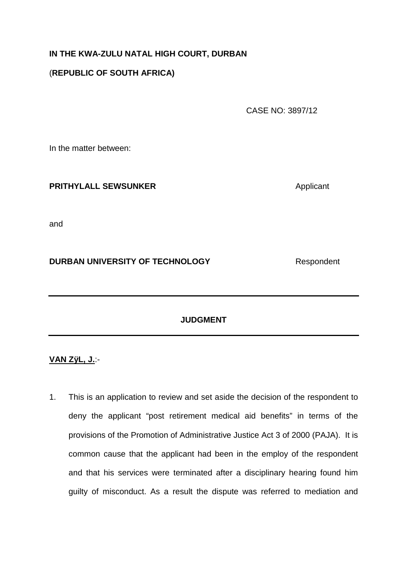# **IN THE KWA-ZULU NATAL HIGH COURT, DURBAN**

# (**REPUBLIC OF SOUTH AFRICA)**

CASE NO: 3897/12

In the matter between:

# **PRITHYLALL SEWSUNKER** Applicant

and

# **DURBAN UNIVERSITY OF TECHNOLOGY** Respondent

### **JUDGMENT**

### **VAN ZÿL, J.**:-

1. This is an application to review and set aside the decision of the respondent to deny the applicant "post retirement medical aid benefits" in terms of the provisions of the Promotion of Administrative Justice Act 3 of 2000 (PAJA). It is common cause that the applicant had been in the employ of the respondent and that his services were terminated after a disciplinary hearing found him guilty of misconduct. As a result the dispute was referred to mediation and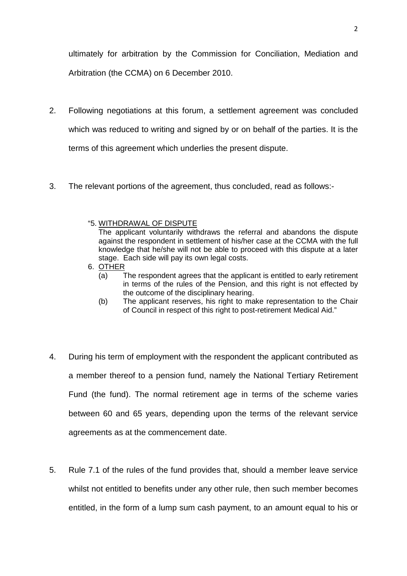ultimately for arbitration by the Commission for Conciliation, Mediation and Arbitration (the CCMA) on 6 December 2010.

- 2. Following negotiations at this forum, a settlement agreement was concluded which was reduced to writing and signed by or on behalf of the parties. It is the terms of this agreement which underlies the present dispute.
- 3. The relevant portions of the agreement, thus concluded, read as follows:-
	- "5. WITHDRAWAL OF DISPUTE

The applicant voluntarily withdraws the referral and abandons the dispute against the respondent in settlement of his/her case at the CCMA with the full knowledge that he/she will not be able to proceed with this dispute at a later stage. Each side will pay its own legal costs.

- 6. OTHER
	- (a) The respondent agrees that the applicant is entitled to early retirement in terms of the rules of the Pension, and this right is not effected by the outcome of the disciplinary hearing.
	- (b) The applicant reserves, his right to make representation to the Chair of Council in respect of this right to post-retirement Medical Aid."
- 4. During his term of employment with the respondent the applicant contributed as a member thereof to a pension fund, namely the National Tertiary Retirement Fund (the fund). The normal retirement age in terms of the scheme varies between 60 and 65 years, depending upon the terms of the relevant service agreements as at the commencement date.
- 5. Rule 7.1 of the rules of the fund provides that, should a member leave service whilst not entitled to benefits under any other rule, then such member becomes entitled, in the form of a lump sum cash payment, to an amount equal to his or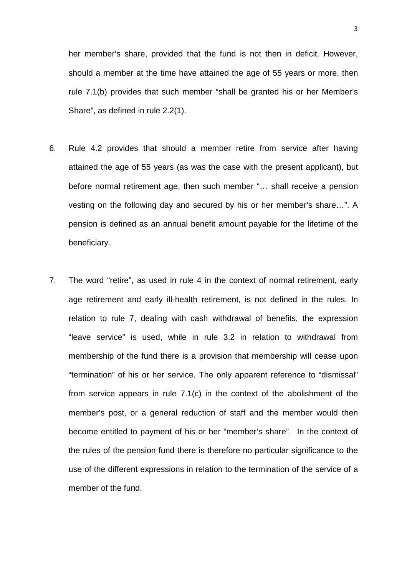her member's share, provided that the fund is not then in deficit. However, should a member at the time have attained the age of 55 years or more, then rule 7.1(b) provides that such member "shall be granted his or her Member's Share", as defined in rule 2.2(1).

- 6. Rule 4.2 provides that should a member retire from service after having attained the age of 55 years (as was the case with the present applicant), but before normal retirement age, then such member "… shall receive a pension vesting on the following day and secured by his or her member's share…". A pension is defined as an annual benefit amount payable for the lifetime of the beneficiary.
- 7. The word "retire", as used in rule 4 in the context of normal retirement, early age retirement and early ill-health retirement, is not defined in the rules. In relation to rule 7, dealing with cash withdrawal of benefits, the expression "leave service" is used, while in rule 3.2 in relation to withdrawal from membership of the fund there is a provision that membership will cease upon "termination" of his or her service. The only apparent reference to "dismissal" from service appears in rule 7.1(c) in the context of the abolishment of the member's post, or a general reduction of staff and the member would then become entitled to payment of his or her "member's share". In the context of the rules of the pension fund there is therefore no particular significance to the use of the different expressions in relation to the termination of the service of a member of the fund.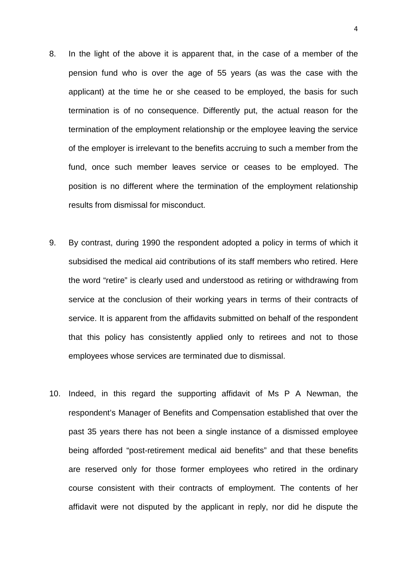- 8. In the light of the above it is apparent that, in the case of a member of the pension fund who is over the age of 55 years (as was the case with the applicant) at the time he or she ceased to be employed, the basis for such termination is of no consequence. Differently put, the actual reason for the termination of the employment relationship or the employee leaving the service of the employer is irrelevant to the benefits accruing to such a member from the fund, once such member leaves service or ceases to be employed. The position is no different where the termination of the employment relationship results from dismissal for misconduct.
- 9. By contrast, during 1990 the respondent adopted a policy in terms of which it subsidised the medical aid contributions of its staff members who retired. Here the word "retire" is clearly used and understood as retiring or withdrawing from service at the conclusion of their working years in terms of their contracts of service. It is apparent from the affidavits submitted on behalf of the respondent that this policy has consistently applied only to retirees and not to those employees whose services are terminated due to dismissal.
- 10. Indeed, in this regard the supporting affidavit of Ms P A Newman, the respondent's Manager of Benefits and Compensation established that over the past 35 years there has not been a single instance of a dismissed employee being afforded "post-retirement medical aid benefits" and that these benefits are reserved only for those former employees who retired in the ordinary course consistent with their contracts of employment. The contents of her affidavit were not disputed by the applicant in reply, nor did he dispute the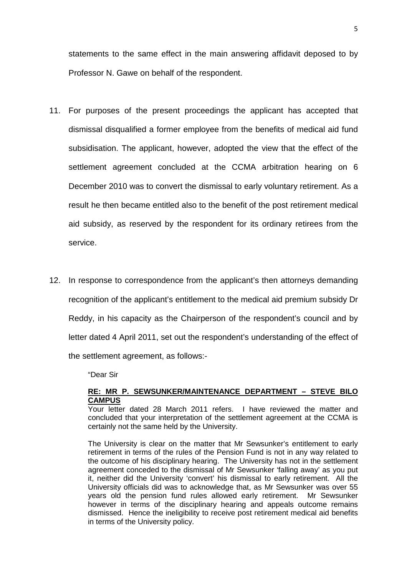statements to the same effect in the main answering affidavit deposed to by Professor N. Gawe on behalf of the respondent.

- 11. For purposes of the present proceedings the applicant has accepted that dismissal disqualified a former employee from the benefits of medical aid fund subsidisation. The applicant, however, adopted the view that the effect of the settlement agreement concluded at the CCMA arbitration hearing on 6 December 2010 was to convert the dismissal to early voluntary retirement. As a result he then became entitled also to the benefit of the post retirement medical aid subsidy, as reserved by the respondent for its ordinary retirees from the service.
- 12. In response to correspondence from the applicant's then attorneys demanding recognition of the applicant's entitlement to the medical aid premium subsidy Dr Reddy, in his capacity as the Chairperson of the respondent's council and by letter dated 4 April 2011, set out the respondent's understanding of the effect of the settlement agreement, as follows:-

"Dear Sir

#### **RE: MR P. SEWSUNKER/MAINTENANCE DEPARTMENT – STEVE BILO CAMPUS**

Your letter dated 28 March 2011 refers. I have reviewed the matter and concluded that your interpretation of the settlement agreement at the CCMA is certainly not the same held by the University.

The University is clear on the matter that Mr Sewsunker's entitlement to early retirement in terms of the rules of the Pension Fund is not in any way related to the outcome of his disciplinary hearing. The University has not in the settlement agreement conceded to the dismissal of Mr Sewsunker 'falling away' as you put it, neither did the University 'convert' his dismissal to early retirement. All the University officials did was to acknowledge that, as Mr Sewsunker was over 55 years old the pension fund rules allowed early retirement. Mr Sewsunker however in terms of the disciplinary hearing and appeals outcome remains dismissed. Hence the ineligibility to receive post retirement medical aid benefits in terms of the University policy.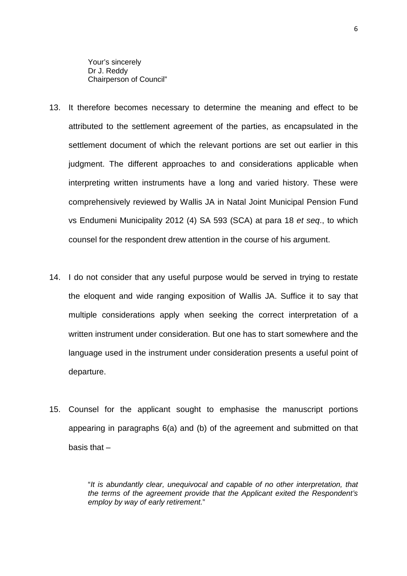Your's sincerely Dr J. Reddy Chairperson of Council"

- 13. It therefore becomes necessary to determine the meaning and effect to be attributed to the settlement agreement of the parties, as encapsulated in the settlement document of which the relevant portions are set out earlier in this judgment. The different approaches to and considerations applicable when interpreting written instruments have a long and varied history. These were comprehensively reviewed by Wallis JA in Natal Joint Municipal Pension Fund vs Endumeni Municipality 2012 (4) SA 593 (SCA) at para 18 et seq., to which counsel for the respondent drew attention in the course of his argument.
- 14. I do not consider that any useful purpose would be served in trying to restate the eloquent and wide ranging exposition of Wallis JA. Suffice it to say that multiple considerations apply when seeking the correct interpretation of a written instrument under consideration. But one has to start somewhere and the language used in the instrument under consideration presents a useful point of departure.
- 15. Counsel for the applicant sought to emphasise the manuscript portions appearing in paragraphs 6(a) and (b) of the agreement and submitted on that basis that –

"It is abundantly clear, unequivocal and capable of no other interpretation, that the terms of the agreement provide that the Applicant exited the Respondent's employ by way of early retirement."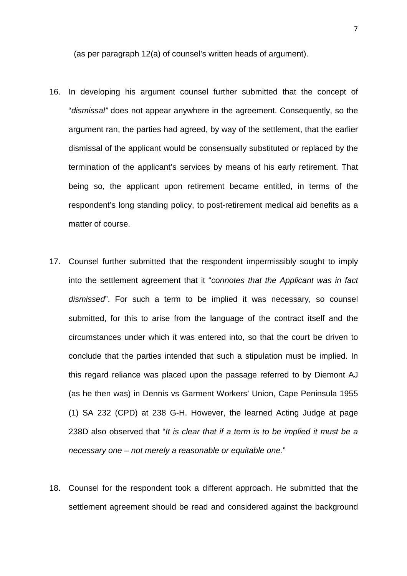(as per paragraph 12(a) of counsel's written heads of argument).

- 16. In developing his argument counsel further submitted that the concept of "dismissal" does not appear anywhere in the agreement. Consequently, so the argument ran, the parties had agreed, by way of the settlement, that the earlier dismissal of the applicant would be consensually substituted or replaced by the termination of the applicant's services by means of his early retirement. That being so, the applicant upon retirement became entitled, in terms of the respondent's long standing policy, to post-retirement medical aid benefits as a matter of course.
- 17. Counsel further submitted that the respondent impermissibly sought to imply into the settlement agreement that it "connotes that the Applicant was in fact dismissed". For such a term to be implied it was necessary, so counsel submitted, for this to arise from the language of the contract itself and the circumstances under which it was entered into, so that the court be driven to conclude that the parties intended that such a stipulation must be implied. In this regard reliance was placed upon the passage referred to by Diemont AJ (as he then was) in Dennis vs Garment Workers' Union, Cape Peninsula 1955 (1) SA 232 (CPD) at 238 G-H. However, the learned Acting Judge at page 238D also observed that "It is clear that if a term is to be implied it must be a necessary one – not merely a reasonable or equitable one."
- 18. Counsel for the respondent took a different approach. He submitted that the settlement agreement should be read and considered against the background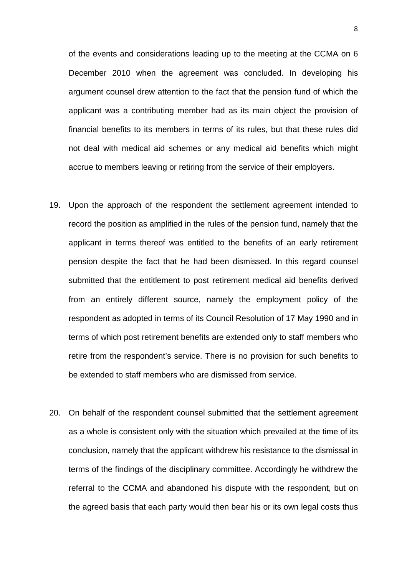of the events and considerations leading up to the meeting at the CCMA on 6 December 2010 when the agreement was concluded. In developing his argument counsel drew attention to the fact that the pension fund of which the applicant was a contributing member had as its main object the provision of financial benefits to its members in terms of its rules, but that these rules did not deal with medical aid schemes or any medical aid benefits which might accrue to members leaving or retiring from the service of their employers.

- 19. Upon the approach of the respondent the settlement agreement intended to record the position as amplified in the rules of the pension fund, namely that the applicant in terms thereof was entitled to the benefits of an early retirement pension despite the fact that he had been dismissed. In this regard counsel submitted that the entitlement to post retirement medical aid benefits derived from an entirely different source, namely the employment policy of the respondent as adopted in terms of its Council Resolution of 17 May 1990 and in terms of which post retirement benefits are extended only to staff members who retire from the respondent's service. There is no provision for such benefits to be extended to staff members who are dismissed from service.
- 20. On behalf of the respondent counsel submitted that the settlement agreement as a whole is consistent only with the situation which prevailed at the time of its conclusion, namely that the applicant withdrew his resistance to the dismissal in terms of the findings of the disciplinary committee. Accordingly he withdrew the referral to the CCMA and abandoned his dispute with the respondent, but on the agreed basis that each party would then bear his or its own legal costs thus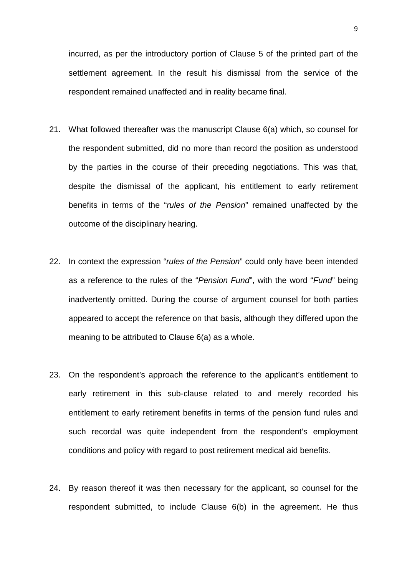incurred, as per the introductory portion of Clause 5 of the printed part of the settlement agreement. In the result his dismissal from the service of the respondent remained unaffected and in reality became final.

- 21. What followed thereafter was the manuscript Clause 6(a) which, so counsel for the respondent submitted, did no more than record the position as understood by the parties in the course of their preceding negotiations. This was that, despite the dismissal of the applicant, his entitlement to early retirement benefits in terms of the "rules of the Pension" remained unaffected by the outcome of the disciplinary hearing.
- 22. In context the expression "rules of the Pension" could only have been intended as a reference to the rules of the "Pension Fund", with the word "Fund" being inadvertently omitted. During the course of argument counsel for both parties appeared to accept the reference on that basis, although they differed upon the meaning to be attributed to Clause 6(a) as a whole.
- 23. On the respondent's approach the reference to the applicant's entitlement to early retirement in this sub-clause related to and merely recorded his entitlement to early retirement benefits in terms of the pension fund rules and such recordal was quite independent from the respondent's employment conditions and policy with regard to post retirement medical aid benefits.
- 24. By reason thereof it was then necessary for the applicant, so counsel for the respondent submitted, to include Clause 6(b) in the agreement. He thus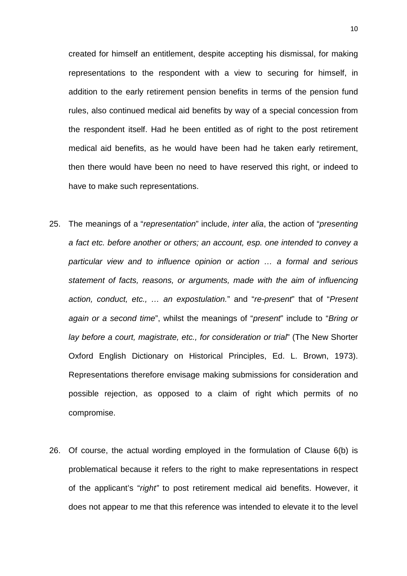created for himself an entitlement, despite accepting his dismissal, for making representations to the respondent with a view to securing for himself, in addition to the early retirement pension benefits in terms of the pension fund rules, also continued medical aid benefits by way of a special concession from the respondent itself. Had he been entitled as of right to the post retirement medical aid benefits, as he would have been had he taken early retirement, then there would have been no need to have reserved this right, or indeed to have to make such representations.

- 25. The meanings of a "representation" include, inter alia, the action of "presenting a fact etc. before another or others; an account, esp. one intended to convey a particular view and to influence opinion or action … a formal and serious statement of facts, reasons, or arguments, made with the aim of influencing action, conduct, etc., ... an expostulation." and "re-present" that of "Present again or a second time", whilst the meanings of "present" include to "Bring or lay before a court, magistrate, etc., for consideration or trial" (The New Shorter Oxford English Dictionary on Historical Principles, Ed. L. Brown, 1973). Representations therefore envisage making submissions for consideration and possible rejection, as opposed to a claim of right which permits of no compromise.
- 26. Of course, the actual wording employed in the formulation of Clause 6(b) is problematical because it refers to the right to make representations in respect of the applicant's "right" to post retirement medical aid benefits. However, it does not appear to me that this reference was intended to elevate it to the level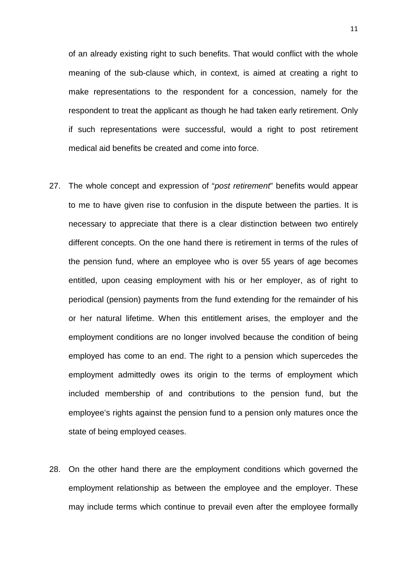of an already existing right to such benefits. That would conflict with the whole meaning of the sub-clause which, in context, is aimed at creating a right to make representations to the respondent for a concession, namely for the respondent to treat the applicant as though he had taken early retirement. Only if such representations were successful, would a right to post retirement medical aid benefits be created and come into force.

- 27. The whole concept and expression of "post retirement" benefits would appear to me to have given rise to confusion in the dispute between the parties. It is necessary to appreciate that there is a clear distinction between two entirely different concepts. On the one hand there is retirement in terms of the rules of the pension fund, where an employee who is over 55 years of age becomes entitled, upon ceasing employment with his or her employer, as of right to periodical (pension) payments from the fund extending for the remainder of his or her natural lifetime. When this entitlement arises, the employer and the employment conditions are no longer involved because the condition of being employed has come to an end. The right to a pension which supercedes the employment admittedly owes its origin to the terms of employment which included membership of and contributions to the pension fund, but the employee's rights against the pension fund to a pension only matures once the state of being employed ceases.
- 28. On the other hand there are the employment conditions which governed the employment relationship as between the employee and the employer. These may include terms which continue to prevail even after the employee formally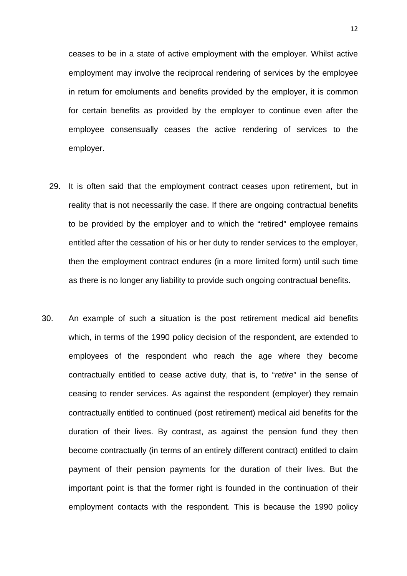ceases to be in a state of active employment with the employer. Whilst active employment may involve the reciprocal rendering of services by the employee in return for emoluments and benefits provided by the employer, it is common for certain benefits as provided by the employer to continue even after the employee consensually ceases the active rendering of services to the employer.

- 29. It is often said that the employment contract ceases upon retirement, but in reality that is not necessarily the case. If there are ongoing contractual benefits to be provided by the employer and to which the "retired" employee remains entitled after the cessation of his or her duty to render services to the employer, then the employment contract endures (in a more limited form) until such time as there is no longer any liability to provide such ongoing contractual benefits.
- 30. An example of such a situation is the post retirement medical aid benefits which, in terms of the 1990 policy decision of the respondent, are extended to employees of the respondent who reach the age where they become contractually entitled to cease active duty, that is, to "retire" in the sense of ceasing to render services. As against the respondent (employer) they remain contractually entitled to continued (post retirement) medical aid benefits for the duration of their lives. By contrast, as against the pension fund they then become contractually (in terms of an entirely different contract) entitled to claim payment of their pension payments for the duration of their lives. But the important point is that the former right is founded in the continuation of their employment contacts with the respondent. This is because the 1990 policy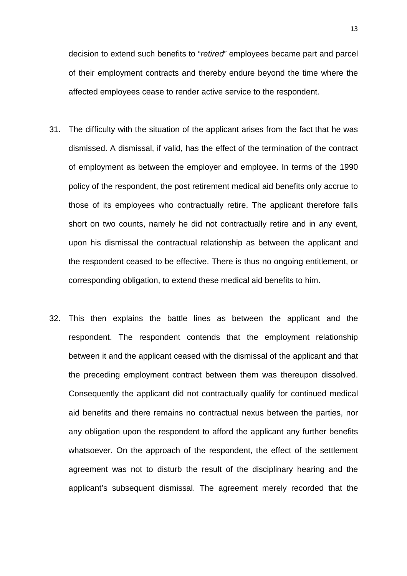decision to extend such benefits to "retired" employees became part and parcel of their employment contracts and thereby endure beyond the time where the affected employees cease to render active service to the respondent.

- 31. The difficulty with the situation of the applicant arises from the fact that he was dismissed. A dismissal, if valid, has the effect of the termination of the contract of employment as between the employer and employee. In terms of the 1990 policy of the respondent, the post retirement medical aid benefits only accrue to those of its employees who contractually retire. The applicant therefore falls short on two counts, namely he did not contractually retire and in any event, upon his dismissal the contractual relationship as between the applicant and the respondent ceased to be effective. There is thus no ongoing entitlement, or corresponding obligation, to extend these medical aid benefits to him.
- 32. This then explains the battle lines as between the applicant and the respondent. The respondent contends that the employment relationship between it and the applicant ceased with the dismissal of the applicant and that the preceding employment contract between them was thereupon dissolved. Consequently the applicant did not contractually qualify for continued medical aid benefits and there remains no contractual nexus between the parties, nor any obligation upon the respondent to afford the applicant any further benefits whatsoever. On the approach of the respondent, the effect of the settlement agreement was not to disturb the result of the disciplinary hearing and the applicant's subsequent dismissal. The agreement merely recorded that the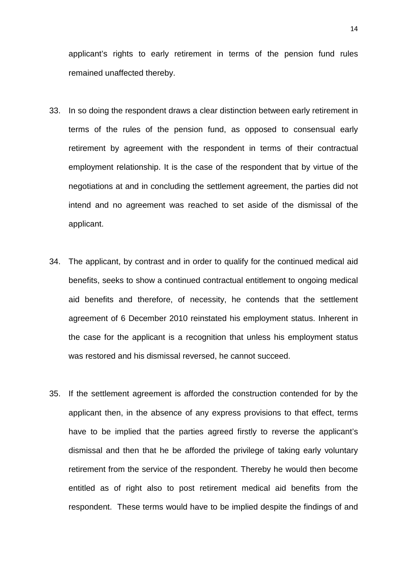applicant's rights to early retirement in terms of the pension fund rules remained unaffected thereby.

- 33. In so doing the respondent draws a clear distinction between early retirement in terms of the rules of the pension fund, as opposed to consensual early retirement by agreement with the respondent in terms of their contractual employment relationship. It is the case of the respondent that by virtue of the negotiations at and in concluding the settlement agreement, the parties did not intend and no agreement was reached to set aside of the dismissal of the applicant.
- 34. The applicant, by contrast and in order to qualify for the continued medical aid benefits, seeks to show a continued contractual entitlement to ongoing medical aid benefits and therefore, of necessity, he contends that the settlement agreement of 6 December 2010 reinstated his employment status. Inherent in the case for the applicant is a recognition that unless his employment status was restored and his dismissal reversed, he cannot succeed.
- 35. If the settlement agreement is afforded the construction contended for by the applicant then, in the absence of any express provisions to that effect, terms have to be implied that the parties agreed firstly to reverse the applicant's dismissal and then that he be afforded the privilege of taking early voluntary retirement from the service of the respondent. Thereby he would then become entitled as of right also to post retirement medical aid benefits from the respondent. These terms would have to be implied despite the findings of and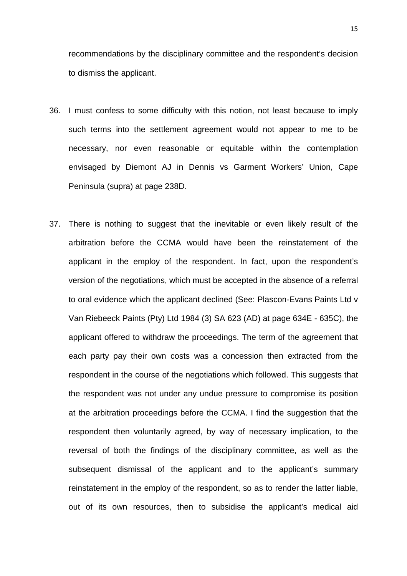recommendations by the disciplinary committee and the respondent's decision to dismiss the applicant.

- 36. I must confess to some difficulty with this notion, not least because to imply such terms into the settlement agreement would not appear to me to be necessary, nor even reasonable or equitable within the contemplation envisaged by Diemont AJ in Dennis vs Garment Workers' Union, Cape Peninsula (supra) at page 238D.
- 37. There is nothing to suggest that the inevitable or even likely result of the arbitration before the CCMA would have been the reinstatement of the applicant in the employ of the respondent. In fact, upon the respondent's version of the negotiations, which must be accepted in the absence of a referral to oral evidence which the applicant declined (See: Plascon-Evans Paints Ltd v Van Riebeeck Paints (Pty) Ltd 1984 (3) SA 623 (AD) at page 634E - 635C), the applicant offered to withdraw the proceedings. The term of the agreement that each party pay their own costs was a concession then extracted from the respondent in the course of the negotiations which followed. This suggests that the respondent was not under any undue pressure to compromise its position at the arbitration proceedings before the CCMA. I find the suggestion that the respondent then voluntarily agreed, by way of necessary implication, to the reversal of both the findings of the disciplinary committee, as well as the subsequent dismissal of the applicant and to the applicant's summary reinstatement in the employ of the respondent, so as to render the latter liable, out of its own resources, then to subsidise the applicant's medical aid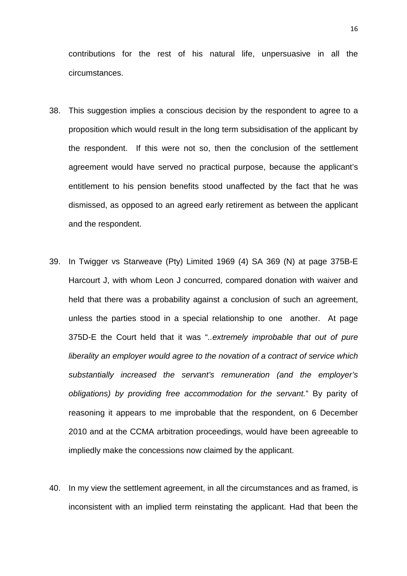contributions for the rest of his natural life, unpersuasive in all the circumstances.

- 38. This suggestion implies a conscious decision by the respondent to agree to a proposition which would result in the long term subsidisation of the applicant by the respondent. If this were not so, then the conclusion of the settlement agreement would have served no practical purpose, because the applicant's entitlement to his pension benefits stood unaffected by the fact that he was dismissed, as opposed to an agreed early retirement as between the applicant and the respondent.
- 39. In Twigger vs Starweave (Pty) Limited 1969 (4) SA 369 (N) at page 375B-E Harcourt J, with whom Leon J concurred, compared donation with waiver and held that there was a probability against a conclusion of such an agreement, unless the parties stood in a special relationship to one another. At page 375D-E the Court held that it was "..extremely improbable that out of pure liberality an employer would agree to the novation of a contract of service which substantially increased the servant's remuneration (and the employer's obligations) by providing free accommodation for the servant." By parity of reasoning it appears to me improbable that the respondent, on 6 December 2010 and at the CCMA arbitration proceedings, would have been agreeable to impliedly make the concessions now claimed by the applicant.
- 40. In my view the settlement agreement, in all the circumstances and as framed, is inconsistent with an implied term reinstating the applicant. Had that been the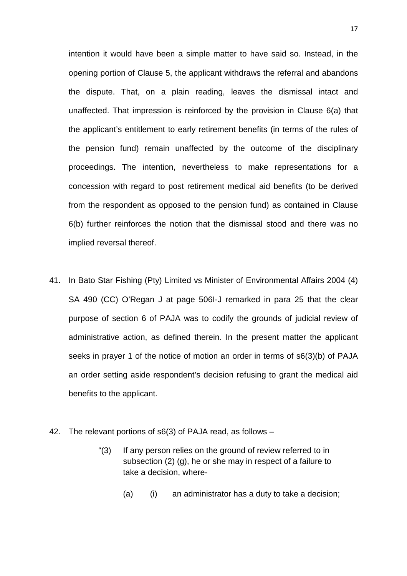intention it would have been a simple matter to have said so. Instead, in the opening portion of Clause 5, the applicant withdraws the referral and abandons the dispute. That, on a plain reading, leaves the dismissal intact and unaffected. That impression is reinforced by the provision in Clause 6(a) that the applicant's entitlement to early retirement benefits (in terms of the rules of the pension fund) remain unaffected by the outcome of the disciplinary proceedings. The intention, nevertheless to make representations for a concession with regard to post retirement medical aid benefits (to be derived from the respondent as opposed to the pension fund) as contained in Clause 6(b) further reinforces the notion that the dismissal stood and there was no implied reversal thereof.

- 41. In Bato Star Fishing (Pty) Limited vs Minister of Environmental Affairs 2004 (4) SA 490 (CC) O'Regan J at page 506I-J remarked in para 25 that the clear purpose of section 6 of PAJA was to codify the grounds of judicial review of administrative action, as defined therein. In the present matter the applicant seeks in prayer 1 of the notice of motion an order in terms of s6(3)(b) of PAJA an order setting aside respondent's decision refusing to grant the medical aid benefits to the applicant.
- 42. The relevant portions of s6(3) of PAJA read, as follows
	- "(3) If any person relies on the ground of review referred to in subsection (2) (g), he or she may in respect of a failure to take a decision, where-
		- (a) (i) an administrator has a duty to take a decision;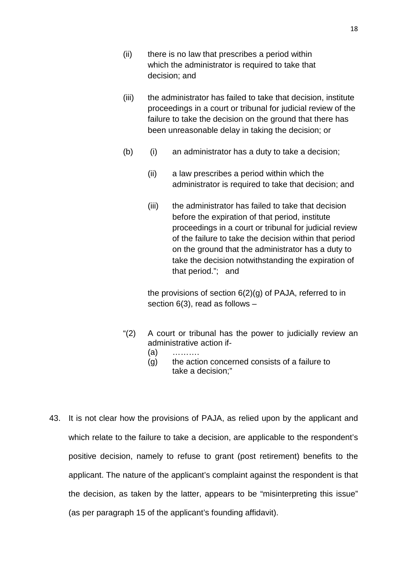- (ii) there is no law that prescribes a period within which the administrator is required to take that decision; and
- (iii) the administrator has failed to take that decision, institute proceedings in a court or tribunal for judicial review of the failure to take the decision on the ground that there has been unreasonable delay in taking the decision; or
- (b) (i) an administrator has a duty to take a decision;
	- (ii) a law prescribes a period within which the administrator is required to take that decision; and
	- (iii) the administrator has failed to take that decision before the expiration of that period, institute proceedings in a court or tribunal for judicial review of the failure to take the decision within that period on the ground that the administrator has a duty to take the decision notwithstanding the expiration of that period."; and

the provisions of section 6(2)(g) of PAJA, referred to in section 6(3), read as follows –

- "(2) A court or tribunal has the power to judicially review an administrative action if-
- $(a)$  ………
	- (g) the action concerned consists of a failure to take a decision;"
- 43. It is not clear how the provisions of PAJA, as relied upon by the applicant and which relate to the failure to take a decision, are applicable to the respondent's positive decision, namely to refuse to grant (post retirement) benefits to the applicant. The nature of the applicant's complaint against the respondent is that the decision, as taken by the latter, appears to be "misinterpreting this issue" (as per paragraph 15 of the applicant's founding affidavit).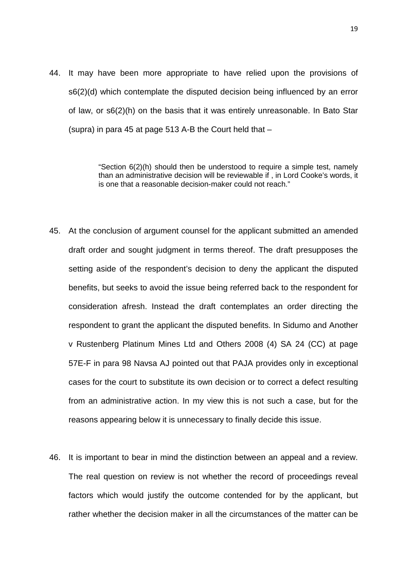44. It may have been more appropriate to have relied upon the provisions of s6(2)(d) which contemplate the disputed decision being influenced by an error of law, or s6(2)(h) on the basis that it was entirely unreasonable. In Bato Star (supra) in para 45 at page 513 A-B the Court held that –

> "Section 6(2)(h) should then be understood to require a simple test, namely than an administrative decision will be reviewable if , in Lord Cooke's words, it is one that a reasonable decision-maker could not reach."

- 45. At the conclusion of argument counsel for the applicant submitted an amended draft order and sought judgment in terms thereof. The draft presupposes the setting aside of the respondent's decision to deny the applicant the disputed benefits, but seeks to avoid the issue being referred back to the respondent for consideration afresh. Instead the draft contemplates an order directing the respondent to grant the applicant the disputed benefits. In Sidumo and Another v Rustenberg Platinum Mines Ltd and Others 2008 (4) SA 24 (CC) at page 57E-F in para 98 Navsa AJ pointed out that PAJA provides only in exceptional cases for the court to substitute its own decision or to correct a defect resulting from an administrative action. In my view this is not such a case, but for the reasons appearing below it is unnecessary to finally decide this issue.
- 46. It is important to bear in mind the distinction between an appeal and a review. The real question on review is not whether the record of proceedings reveal factors which would justify the outcome contended for by the applicant, but rather whether the decision maker in all the circumstances of the matter can be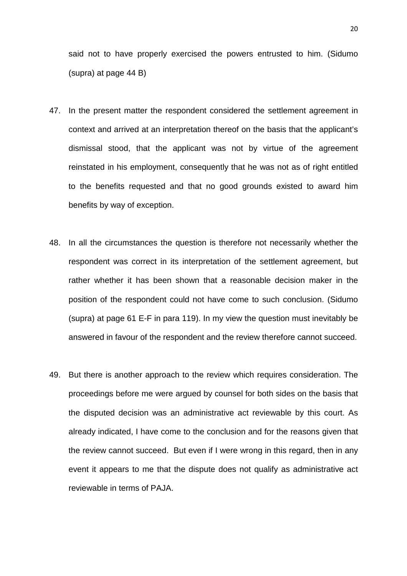said not to have properly exercised the powers entrusted to him. (Sidumo (supra) at page 44 B)

- 47. In the present matter the respondent considered the settlement agreement in context and arrived at an interpretation thereof on the basis that the applicant's dismissal stood, that the applicant was not by virtue of the agreement reinstated in his employment, consequently that he was not as of right entitled to the benefits requested and that no good grounds existed to award him benefits by way of exception.
- 48. In all the circumstances the question is therefore not necessarily whether the respondent was correct in its interpretation of the settlement agreement, but rather whether it has been shown that a reasonable decision maker in the position of the respondent could not have come to such conclusion. (Sidumo (supra) at page 61 E-F in para 119). In my view the question must inevitably be answered in favour of the respondent and the review therefore cannot succeed.
- 49. But there is another approach to the review which requires consideration. The proceedings before me were argued by counsel for both sides on the basis that the disputed decision was an administrative act reviewable by this court. As already indicated, I have come to the conclusion and for the reasons given that the review cannot succeed. But even if I were wrong in this regard, then in any event it appears to me that the dispute does not qualify as administrative act reviewable in terms of PAJA.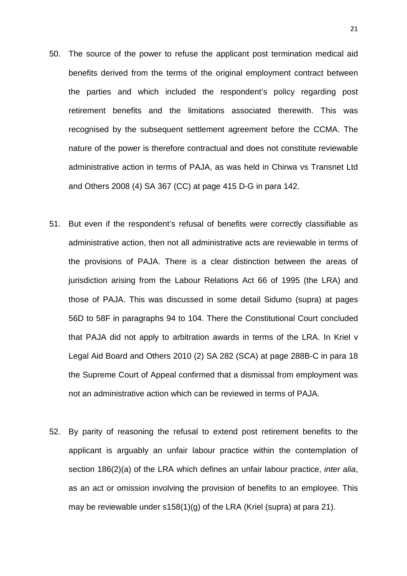- 50. The source of the power to refuse the applicant post termination medical aid benefits derived from the terms of the original employment contract between the parties and which included the respondent's policy regarding post retirement benefits and the limitations associated therewith. This was recognised by the subsequent settlement agreement before the CCMA. The nature of the power is therefore contractual and does not constitute reviewable administrative action in terms of PAJA, as was held in Chirwa vs Transnet Ltd and Others 2008 (4) SA 367 (CC) at page 415 D-G in para 142.
- 51. But even if the respondent's refusal of benefits were correctly classifiable as administrative action, then not all administrative acts are reviewable in terms of the provisions of PAJA. There is a clear distinction between the areas of jurisdiction arising from the Labour Relations Act 66 of 1995 (the LRA) and those of PAJA. This was discussed in some detail Sidumo (supra) at pages 56D to 58F in paragraphs 94 to 104. There the Constitutional Court concluded that PAJA did not apply to arbitration awards in terms of the LRA. In Kriel v Legal Aid Board and Others 2010 (2) SA 282 (SCA) at page 288B-C in para 18 the Supreme Court of Appeal confirmed that a dismissal from employment was not an administrative action which can be reviewed in terms of PAJA.
- 52. By parity of reasoning the refusal to extend post retirement benefits to the applicant is arguably an unfair labour practice within the contemplation of section 186(2)(a) of the LRA which defines an unfair labour practice, *inter alia*, as an act or omission involving the provision of benefits to an employee. This may be reviewable under s158(1)(g) of the LRA (Kriel (supra) at para 21).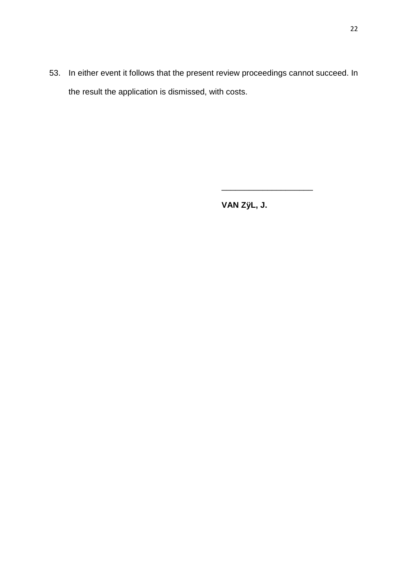53. In either event it follows that the present review proceedings cannot succeed. In the result the application is dismissed, with costs.

**VAN ZÿL, J.** 

\_\_\_\_\_\_\_\_\_\_\_\_\_\_\_\_\_\_\_\_